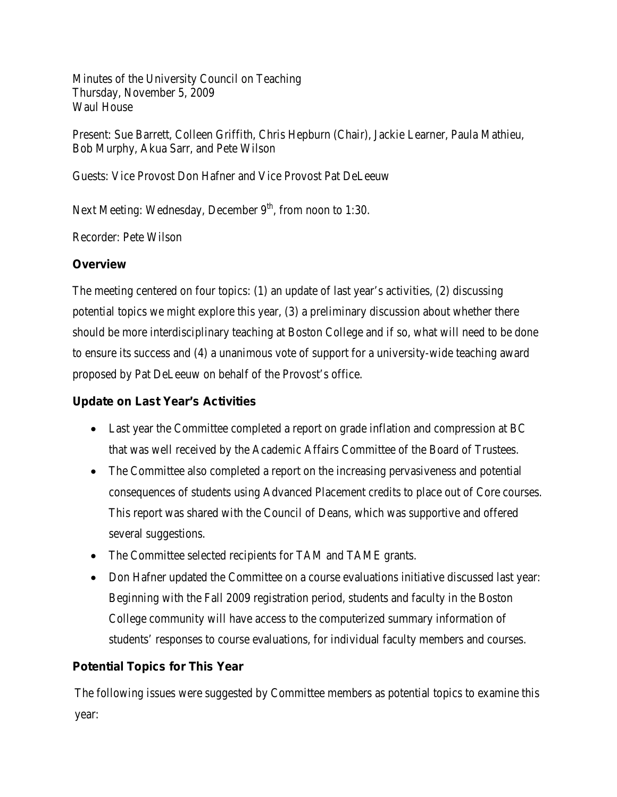Minutes of the University Council on Teaching Thursday, November 5, 2009 Waul House

Present: Sue Barrett, Colleen Griffith, Chris Hepburn (Chair), Jackie Learner, Paula Mathieu, Bob Murphy, Akua Sarr, and Pete Wilson

Guests: Vice Provost Don Hafner and Vice Provost Pat DeLeeuw

Next Meeting: Wednesday, December  $9<sup>th</sup>$ , from noon to 1:30.

Recorder: Pete Wilson

## **Overview**

The meeting centered on four topics: (1) an update of last year's activities, (2) discussing potential topics we might explore this year, (3) a preliminary discussion about whether there should be more interdisciplinary teaching at Boston College and if so, what will need to be done to ensure its success and (4) a unanimous vote of support for a university-wide teaching award proposed by Pat DeLeeuw on behalf of the Provost's office.

## **Update on Last Year's Activities**

- Last year the Committee completed a report on grade inflation and compression at BC that was well received by the Academic Affairs Committee of the Board of Trustees.
- The Committee also completed a report on the increasing pervasiveness and potential consequences of students using Advanced Placement credits to place out of Core courses. This report was shared with the Council of Deans, which was supportive and offered several suggestions.
- The Committee selected recipients for TAM and TAME grants.
- Don Hafner updated the Committee on a course evaluations initiative discussed last year: Beginning with the Fall 2009 registration period, students and faculty in the Boston College community will have access to the computerized summary information of students' responses to course evaluations, for individual faculty members and courses.

## **Potential Topics for This Year**

The following issues were suggested by Committee members as potential topics to examine this year: